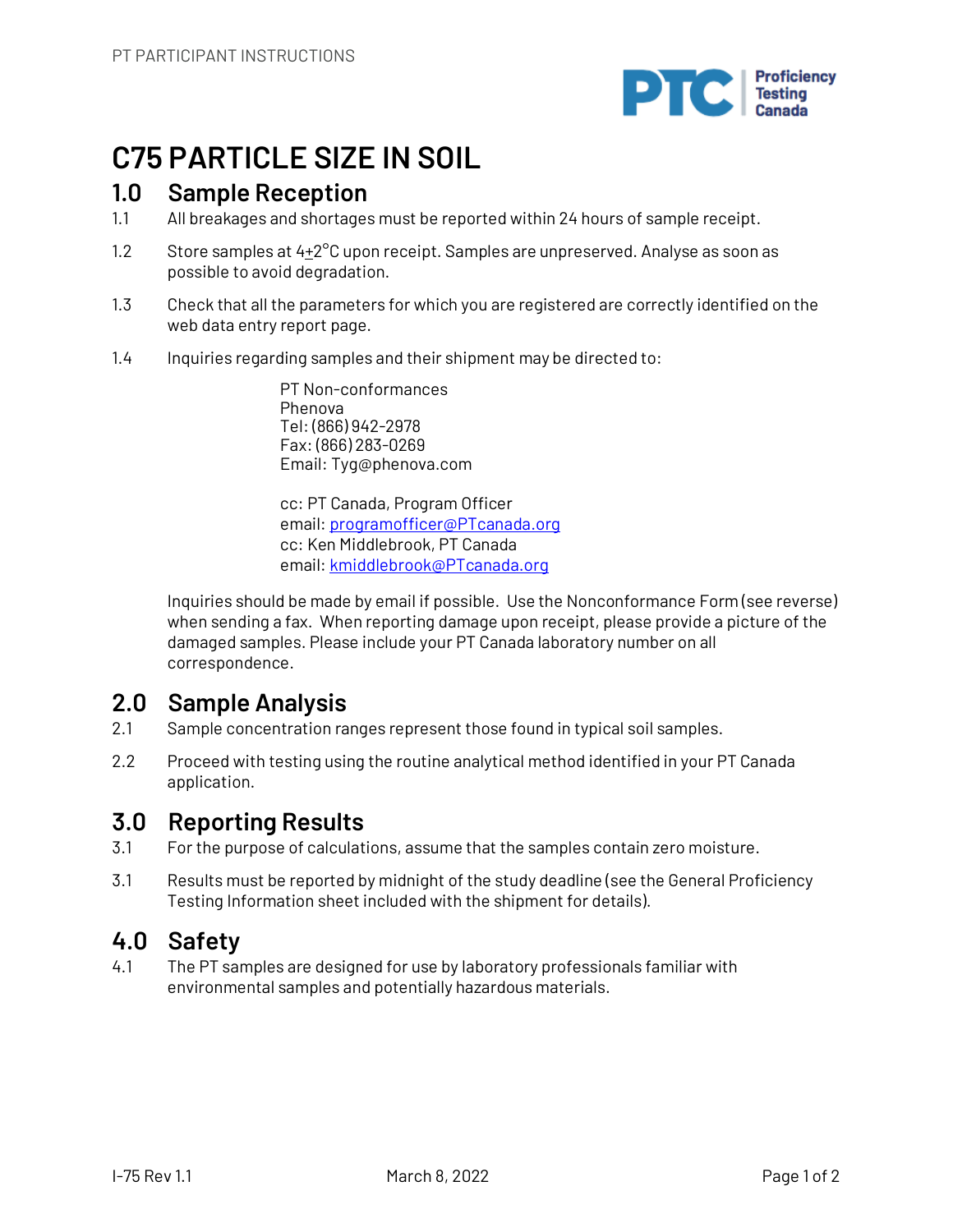

## **C75 PARTICLE SIZE IN SOIL**

### **1.0 Sample Reception**

- 1.1 All breakages and shortages must be reported within 24 hours of sample receipt.
- 1.2 Store samples at  $4+2^{\circ}$ C upon receipt. Samples are unpreserved. Analyse as soon as possible to avoid degradation.
- 1.3 Check that all the parameters for which you are registered are correctly identified on the web data entry report page.
- 1.4 Inquiries regarding samples and their shipment may be directed to:

PT Non-conformances Phenova Tel: (866) 942-2978 Fax: (866) 283-0269 Email: Tyg@phenova.com

cc: PT Canada, Program Officer email: programofficer@PTcanada.org cc: Ken Middlebrook, PT Canada email: kmiddlebrook@PTcanada.org

Inquiries should be made by email if possible. Use the Nonconformance Form (see reverse) when sending a fax. When reporting damage upon receipt, please provide a picture of the damaged samples. Please include your PT Canada laboratory number on all correspondence.

## **2.0 Sample Analysis**

- 2.1 Sample concentration ranges represent those found in typical soil samples.
- 2.2 Proceed with testing using the routine analytical method identified in your PT Canada application.

## **3.0 Reporting Results**

- 3.1 For the purpose of calculations, assume that the samples contain zero moisture.
- 3.1 Results must be reported by midnight of the study deadline (see the General Proficiency Testing Information sheet included with the shipment for details).

## **4.0 Safety**

4.1 The PT samples are designed for use by laboratory professionals familiar with environmental samples and potentially hazardous materials.